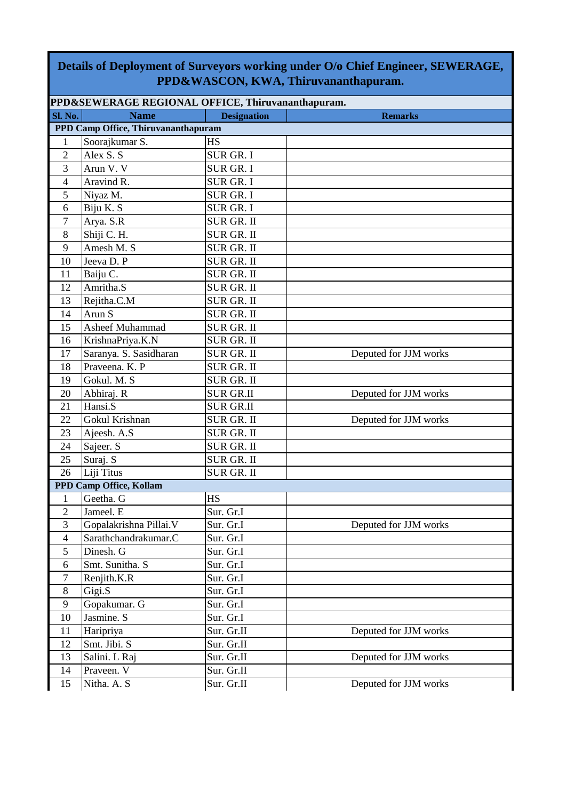## **Details of Deployment of Surveyors working under O/o Chief Engineer, SEWERAGE, PPD&WASCON, KWA, Thiruvananthapuram.**

| PPD&SEWERAGE REGIONAL OFFICE, Thiruvananthapuram. |                                     |                    |                       |  |  |  |
|---------------------------------------------------|-------------------------------------|--------------------|-----------------------|--|--|--|
| <b>Sl. No.</b>                                    | <b>Name</b>                         | <b>Designation</b> | <b>Remarks</b>        |  |  |  |
|                                                   | PPD Camp Office, Thiruvananthapuram |                    |                       |  |  |  |
| $\mathbf{1}$                                      | Soorajkumar S.                      | <b>HS</b>          |                       |  |  |  |
| $\overline{2}$                                    | Alex S. S                           | <b>SUR GR. I</b>   |                       |  |  |  |
| 3                                                 | Arun V. V                           | <b>SUR GR. I</b>   |                       |  |  |  |
| $\overline{4}$                                    | Aravind R.                          | SUR GR. I          |                       |  |  |  |
| 5                                                 | Niyaz M.                            | <b>SUR GR. I</b>   |                       |  |  |  |
| 6                                                 | Biju K. S                           | <b>SUR GR. I</b>   |                       |  |  |  |
| $\tau$                                            | Arya. S.R                           | <b>SUR GR. II</b>  |                       |  |  |  |
| 8                                                 | Shiji C. H.                         | <b>SUR GR. II</b>  |                       |  |  |  |
| 9                                                 | Amesh M. S                          | SUR GR. II         |                       |  |  |  |
| 10                                                | Jeeva D. P                          | SUR GR. II         |                       |  |  |  |
| 11                                                | Baiju C.                            | <b>SUR GR. II</b>  |                       |  |  |  |
| 12                                                | Amritha.S                           | <b>SUR GR. II</b>  |                       |  |  |  |
| 13                                                | Rejitha.C.M                         | SUR GR. II         |                       |  |  |  |
| 14                                                | Arun S                              | <b>SUR GR. II</b>  |                       |  |  |  |
| 15                                                | Asheef Muhammad                     | SUR GR. II         |                       |  |  |  |
| 16                                                | KrishnaPriya.K.N                    | SUR GR. II         |                       |  |  |  |
| 17                                                | Saranya. S. Sasidharan              | <b>SUR GR. II</b>  | Deputed for JJM works |  |  |  |
| 18                                                | Praveena. K. P                      | <b>SUR GR. II</b>  |                       |  |  |  |
| 19                                                | Gokul. M. S                         | SUR GR. II         |                       |  |  |  |
| 20                                                | Abhiraj. R                          | <b>SUR GR.II</b>   | Deputed for JJM works |  |  |  |
| 21                                                | Hansi.S                             | <b>SUR GR.II</b>   |                       |  |  |  |
| 22                                                | Gokul Krishnan                      | <b>SUR GR. II</b>  | Deputed for JJM works |  |  |  |
| 23                                                | Ajeesh. A.S                         | <b>SUR GR. II</b>  |                       |  |  |  |
| 24                                                | Sajeer. S                           | <b>SUR GR. II</b>  |                       |  |  |  |
| 25                                                | Suraj. S                            | SUR GR. II         |                       |  |  |  |
| 26                                                | Liji Titus                          | <b>SUR GR. II</b>  |                       |  |  |  |
|                                                   | PPD Camp Office, Kollam             |                    |                       |  |  |  |
| $\mathbf{1}$                                      | Geetha. G                           | <b>HS</b>          |                       |  |  |  |
| $\overline{2}$                                    | Jameel. E                           | Sur. Gr.I          |                       |  |  |  |
| 3                                                 | Gopalakrishna Pillai. V             | Sur. Gr.I          | Deputed for JJM works |  |  |  |
| $\overline{4}$                                    | Sarathchandrakumar.C                | Sur. Gr.I          |                       |  |  |  |
| 5                                                 | Dinesh. G                           | Sur. Gr.I          |                       |  |  |  |
| 6                                                 | Smt. Sunitha. S                     | Sur. Gr.I          |                       |  |  |  |
| 7                                                 | Renjith.K.R                         | Sur. Gr.I          |                       |  |  |  |
| 8                                                 | Gigi.S                              | Sur. Gr.I          |                       |  |  |  |
| 9                                                 | Gopakumar. G                        | Sur. Gr.I          |                       |  |  |  |
| 10                                                | Jasmine. S                          | Sur. Gr.I          |                       |  |  |  |
| 11                                                | Haripriya                           | Sur. Gr.II         | Deputed for JJM works |  |  |  |
| 12                                                | Smt. Jibi. S                        | Sur. Gr.II         |                       |  |  |  |
| 13                                                | Salini. L Raj                       | Sur. Gr.II         | Deputed for JJM works |  |  |  |
| 14                                                | Praveen. V                          | Sur. Gr.II         |                       |  |  |  |
| 15                                                | Nitha. A. S                         | Sur. Gr.II         | Deputed for JJM works |  |  |  |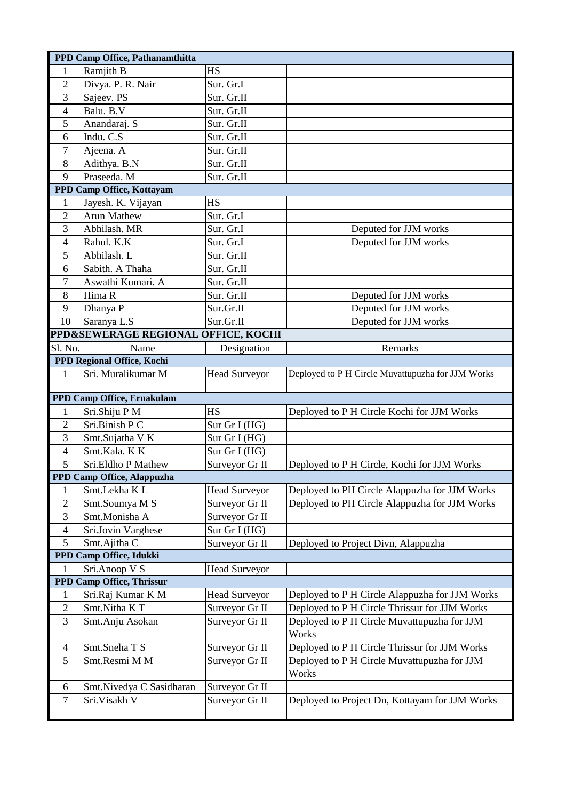|                           | PPD Camp Office, Pathanamthitta     |                      |                                                      |  |  |  |  |
|---------------------------|-------------------------------------|----------------------|------------------------------------------------------|--|--|--|--|
| 1                         | Ramjith B                           | <b>HS</b>            |                                                      |  |  |  |  |
| $\overline{2}$            | Divya. P. R. Nair                   | Sur. Gr.I            |                                                      |  |  |  |  |
| 3                         | Sajeev. PS                          | Sur. Gr.II           |                                                      |  |  |  |  |
| $\overline{4}$            | Balu. B.V                           | Sur. Gr.II           |                                                      |  |  |  |  |
| 5                         | Anandaraj. S                        | Sur. Gr.II           |                                                      |  |  |  |  |
| 6                         | Indu. C.S                           | Sur. Gr.II           |                                                      |  |  |  |  |
| 7                         | Ajeena. A                           | Sur. Gr.II           |                                                      |  |  |  |  |
| 8                         | Adithya. B.N                        | Sur. Gr.II           |                                                      |  |  |  |  |
| 9                         | Praseeda. M                         | Sur. Gr.II           |                                                      |  |  |  |  |
| PPD Camp Office, Kottayam |                                     |                      |                                                      |  |  |  |  |
| $\mathbf{1}$              | Jayesh. K. Vijayan                  | <b>HS</b>            |                                                      |  |  |  |  |
| $\overline{2}$            | <b>Arun Mathew</b>                  | Sur. Gr.I            |                                                      |  |  |  |  |
| 3                         | Abhilash. MR                        | Sur. Gr.I            | Deputed for JJM works                                |  |  |  |  |
| $\overline{4}$            | Rahul. K.K                          | Sur. Gr.I            | Deputed for JJM works                                |  |  |  |  |
| 5                         | Abhilash. L                         | Sur. Gr.II           |                                                      |  |  |  |  |
| 6                         | Sabith. A Thaha                     | Sur. Gr.II           |                                                      |  |  |  |  |
| 7                         | Aswathi Kumari. A                   | Sur. Gr.II           |                                                      |  |  |  |  |
| 8                         | Hima R                              | Sur. Gr.II           | Deputed for JJM works                                |  |  |  |  |
| 9                         | Dhanya P                            | Sur.Gr.II            | Deputed for JJM works                                |  |  |  |  |
| 10                        | Saranya L.S                         | Sur.Gr.II            | Deputed for JJM works                                |  |  |  |  |
|                           | PPD&SEWERAGE REGIONAL OFFICE, KOCHI |                      |                                                      |  |  |  |  |
| Sl. No.                   | Name                                | Designation          | Remarks                                              |  |  |  |  |
|                           | PPD Regional Office, Kochi          |                      |                                                      |  |  |  |  |
| $\mathbf{1}$              | Sri. Muralikumar M                  | <b>Head Surveyor</b> | Deployed to P H Circle Muvattupuzha for JJM Works    |  |  |  |  |
|                           | PPD Camp Office, Ernakulam          |                      |                                                      |  |  |  |  |
| $\mathbf{1}$              | Sri.Shiju P M                       | <b>HS</b>            | Deployed to P H Circle Kochi for JJM Works           |  |  |  |  |
| $\overline{2}$            | Sri.Binish P C                      | Sur Gr I (HG)        |                                                      |  |  |  |  |
| 3                         | Smt.Sujatha V K                     | Sur Gr I (HG)        |                                                      |  |  |  |  |
| $\overline{4}$            | Smt.Kala. K K                       | Sur Gr I (HG)        |                                                      |  |  |  |  |
| 5                         | Sri.Eldho P Mathew                  | Surveyor Gr II       | Deployed to P H Circle, Kochi for JJM Works          |  |  |  |  |
|                           | PPD Camp Office, Alappuzha          |                      |                                                      |  |  |  |  |
| $\mathbf{1}$              | Smt.Lekha KL                        | <b>Head Surveyor</b> | Deployed to PH Circle Alappuzha for JJM Works        |  |  |  |  |
| $\overline{2}$            | Smt.Soumya M S                      | Surveyor Gr II       | Deployed to PH Circle Alappuzha for JJM Works        |  |  |  |  |
| 3                         | Smt.Monisha A                       | Surveyor Gr II       |                                                      |  |  |  |  |
| $\overline{4}$            | Sri.Jovin Varghese                  | Sur Gr I (HG)        |                                                      |  |  |  |  |
| 5                         | Smt.Ajitha C                        | Surveyor Gr II       | Deployed to Project Divn, Alappuzha                  |  |  |  |  |
|                           | PPD Camp Office, Idukki             |                      |                                                      |  |  |  |  |
|                           | Sri.Anoop V S                       | <b>Head Surveyor</b> |                                                      |  |  |  |  |
|                           | PPD Camp Office, Thrissur           |                      |                                                      |  |  |  |  |
| 1                         | Sri.Raj Kumar K M                   | <b>Head Surveyor</b> | Deployed to P H Circle Alappuzha for JJM Works       |  |  |  |  |
| $\overline{2}$            | Smt.Nitha KT                        | Surveyor Gr II       | Deployed to P H Circle Thrissur for JJM Works        |  |  |  |  |
| 3                         | Smt.Anju Asokan                     | Surveyor Gr II       | Deployed to P H Circle Muvattupuzha for JJM<br>Works |  |  |  |  |
| 4                         | Smt.Sneha T S                       | Surveyor Gr II       | Deployed to P H Circle Thrissur for JJM Works        |  |  |  |  |
| 5                         | Smt.Resmi M M                       | Surveyor Gr II       | Deployed to P H Circle Muvattupuzha for JJM<br>Works |  |  |  |  |
| 6                         | Smt.Nivedya C Sasidharan            | Surveyor Gr II       |                                                      |  |  |  |  |
| $\tau$                    | Sri. Visakh V                       | Surveyor Gr II       | Deployed to Project Dn, Kottayam for JJM Works       |  |  |  |  |